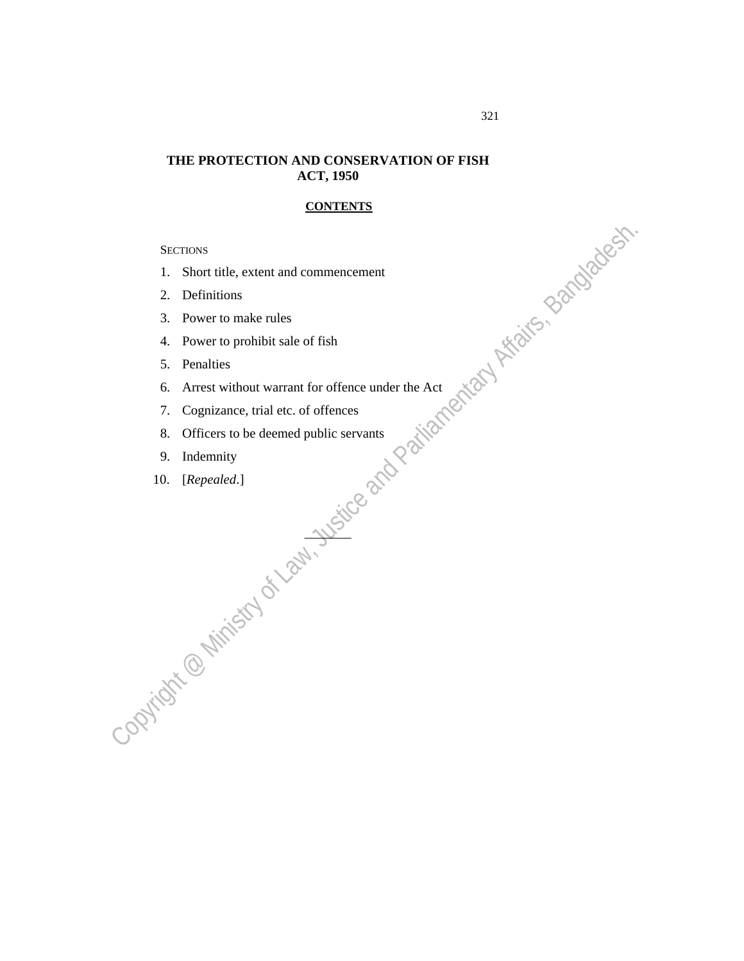## **THE PROTECTION AND CONSERVATION OF FISH ACT, 1950**

## **CONTENTS**

**SECTIONS** 

- 1. Short title, extent and commencement
- 2. Definitions
- 3. Power to make rules
- 4. Power to prohibit sale of fish
- 5. Penalties
- SECTIONS<br>
1. Short title, extent and commencement<br>
2. Definitions<br>
3. Power to make rules<br>
4. Power to prohibit sale of fish<br>
5. Penalties<br>
6. Arrest without warrant for offence under the Act<br>
7. Cognizance, trial etc. of 6. Arrest without warrant for offence under the Act

 $\overline{\mathcal{P}}$ 

- 7. Cognizance, trial etc. of offences
- 8. Officers to be deemed public servants
- 9. Indemnity
- 10. [*Repealed*.]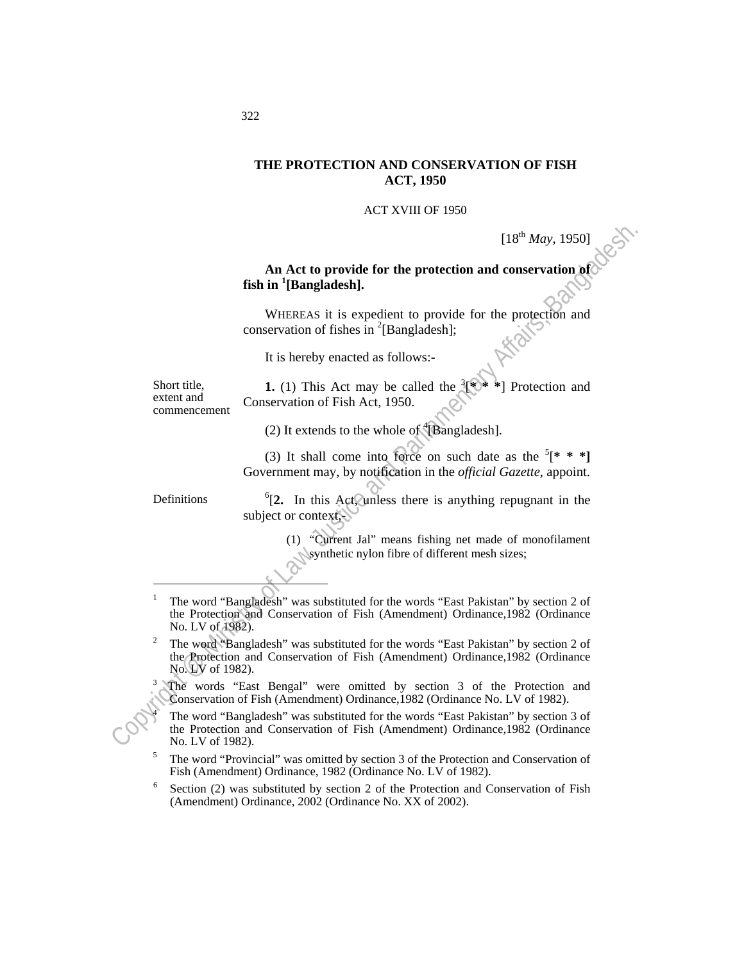## **THE PROTECTION AND CONSERVATION OF FISH ACT, 1950**

ACT XVIII OF 1950

 $[18^{th}$  *May*, 1950]

 **An Act to provide for the protection and conservation of fish in <sup>1</sup> [Bangladesh].** 

 WHEREAS it is expedient to provide for the protection and conservation of fishes in  $^{2}$ [Bangladesh];

It is hereby enacted as follows:-

Short title, extent and commencement

**1.** (1) This Act may be called the Protection and Conservation of Fish Act, 1950.

(2) It extends to the whole of  $\rm ^4[Bangladesh]$ .

(3) It shall come into force on such date as the  $[$ <sup>\*</sup> \* \*] Government may, by notification in the *official Gazette*, appoint.

**Definitions** 

 $\overline{a}$ 

 ${}^{6}$ [2. In this Act, unless there is anything repugnant in the subject or context,

> (1) "Current Jal" means fishing net made of monofilament synthetic nylon fibre of different mesh sizes;

- (18<sup>th</sup> May, 1950)<br> **Solution** (18th in <sup>1</sup>[Bangladesh].<br>
WHEREAS it is expedient to provide for the protection and<br>
conservation of fishes in <sup>2</sup>[Bangladesh].<br>
Let be hereby exacted as follows:<br>
The interest and the stat 1 The word "Bangladesh" was substituted for the words "East Pakistan" by section 2 of the Protection and Conservation of Fish (Amendment) Ordinance,1982 (Ordinance No. LV of 1982).
	- The word "Bangladesh" was substituted for the words "East Pakistan" by section 2 of the Protection and Conservation of Fish (Amendment) Ordinance,1982 (Ordinance No. LV of 1982).
	- The words "East Bengal" were omitted by section 3 of the Protection and Conservation of Fish (Amendment) Ordinance,1982 (Ordinance No. LV of 1982). 4
		- The word "Bangladesh" was substituted for the words "East Pakistan" by section 3 of the Protection and Conservation of Fish (Amendment) Ordinance,1982 (Ordinance No. LV of 1982).
	- The word "Provincial" was omitted by section 3 of the Protection and Conservation of Fish (Amendment) Ordinance, 1982 (Ordinance No. LV of 1982).
	- Section (2) was substituted by section 2 of the Protection and Conservation of Fish (Amendment) Ordinance, 2002 (Ordinance No. XX of 2002).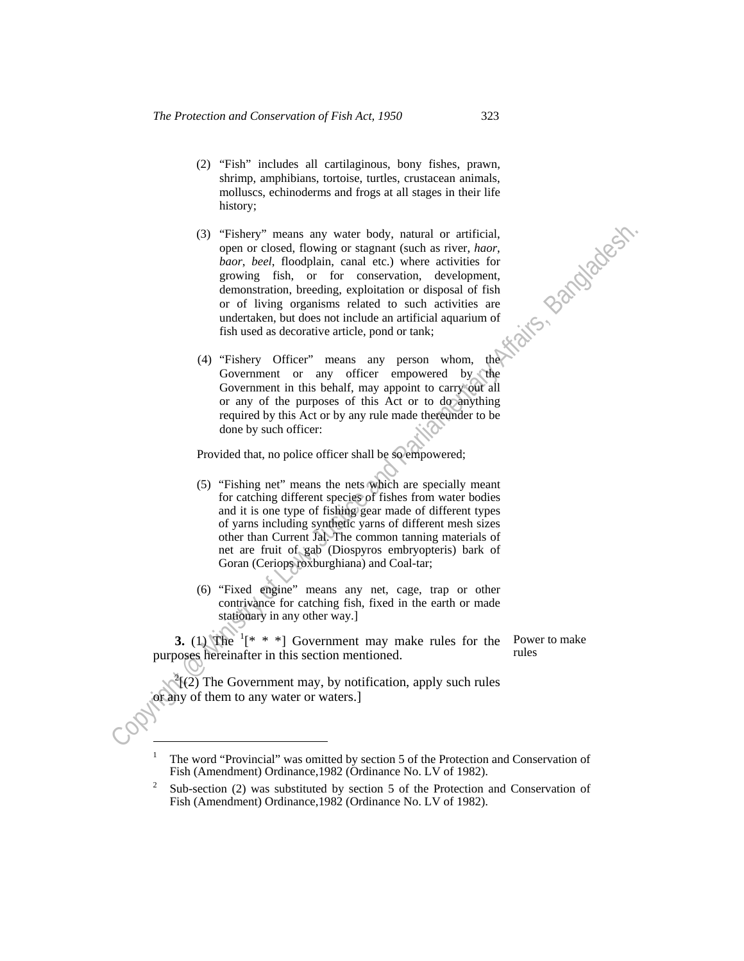- (2) "Fish" includes all cartilaginous, bony fishes, prawn, shrimp, amphibians, tortoise, turtles, crustacean animals, molluscs, echinoderms and frogs at all stages in their life history;
- (3) "Fishery" means any water body, natural or artificial,<br>
open re cleased, flowing or stagment (seeh as river, have,<br>
boor, beel, floodplain, canal etc.) where activities for<br>
growing fish, or for conservation, declinge (3) "Fishery" means any water body, natural or artificial, open or closed, flowing or stagnant (such as river, *haor*, *baor*, *beel*, floodplain, canal etc.) where activities for growing fish, or for conservation, development, demonstration, breeding, exploitation or disposal of fish or of living organisms related to such activities are undertaken, but does not include an artificial aquarium of fish used as decorative article, pond or tank;
	- (4) "Fishery Officer" means any person whom, the Government or any officer empowered by the Government in this behalf, may appoint to carry out all or any of the purposes of this Act or to do anything required by this Act or by any rule made thereunder to be done by such officer:

Provided that, no police officer shall be so empowered;

- (5) "Fishing net" means the nets which are specially meant for catching different species of fishes from water bodies and it is one type of fishing gear made of different types of yarns including synthetic yarns of different mesh sizes other than Current Jal. The common tanning materials of net are fruit of gab (Diospyros embryopteris) bark of Goran (Ceriops roxburghiana) and Coal-tar;
- (6) "Fixed engine" means any net, cage, trap or other contrivance for catching fish, fixed in the earth or made stationary in any other way.]

**3.** (1) The  $[1]^{*}$  \* \*] Government may make rules for the purposes hereinafter in this section mentioned.

Power to make rules

<sup>2</sup>((2) The Government may, by notification, apply such rules or any of them to any water or waters.]

<sup>1</sup> The word "Provincial" was omitted by section 5 of the Protection and Conservation of Fish (Amendment) Ordinance,1982 (Ordinance No. LV of 1982). 2

Sub-section (2) was substituted by section 5 of the Protection and Conservation of Fish (Amendment) Ordinance,1982 (Ordinance No. LV of 1982).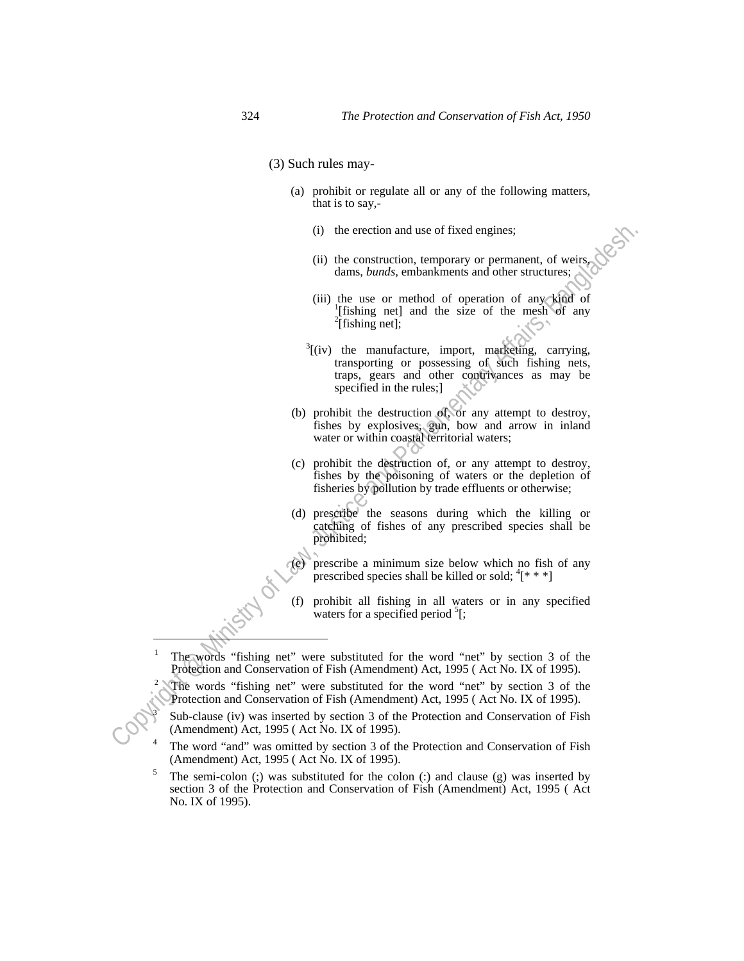(3) Such rules may-

- (a) prohibit or regulate all or any of the following matters, that is to say,-
	- (i) the erection and use of fixed engines;
	- (ii) the construction, temporary or permanent, of weirs, dams, *bunds,* embankments and other structures;
	- (iii) the use or method of operation of any kind of [fishing net] and the size of the mesh of any  $^{2}$ [fishing net];
- (i) the enction and use of fixed engines;<br>
(ii) the constructured comproment, of weirs,<br>
(iii) also skepts,  $\frac{1}{2}$  (iii) also see or method of operation of any kind of<br>  $\frac{1}{2}$  (iii) also see or method of operation o  $3$ [(iv) the manufacture, import, marketing, carrying, transporting or possessing of such fishing nets, traps, gears and other contrivances as may be specified in the rules;]
	- (b) prohibit the destruction of, or any attempt to destroy, fishes by explosives, gun, bow and arrow in inland water or within coastal territorial waters;
	- (c) prohibit the destruction of, or any attempt to destroy, fishes by the poisoning of waters or the depletion of fisheries by pollution by trade effluents or otherwise;
	- (d) prescribe the seasons during which the killing or catching of fishes of any prescribed species shall be prohibited;
	- (e) prescribe a minimum size below which no fish of any prescribed species shall be killed or sold;  ${}^4$ [\* \* \*]
	- (f) prohibit all fishing in all waters or in any specified waters for a specified period  ${}^{5}$ [;
	- The words "fishing net" were substituted for the word "net" by section 3 of the Protection and Conservation of Fish (Amendment) Act, 1995 ( Act No. IX of 1995). 2
	- The words "fishing net" were substituted for the word "net" by section 3 of the Protection and Conservation of Fish (Amendment) Act, 1995 ( Act No. IX of 1995). 3
	- Sub-clause (iv) was inserted by section 3 of the Protection and Conservation of Fish (Amendment) Act, 1995 ( Act No. IX of 1995). 4
	- The word "and" was omitted by section 3 of the Protection and Conservation of Fish (Amendment) Act, 1995 ( Act No. IX of 1995). 5
	- The semi-colon (;) was substituted for the colon (:) and clause (g) was inserted by section 3 of the Protection and Conservation of Fish (Amendment) Act, 1995 ( Act No. IX of 1995).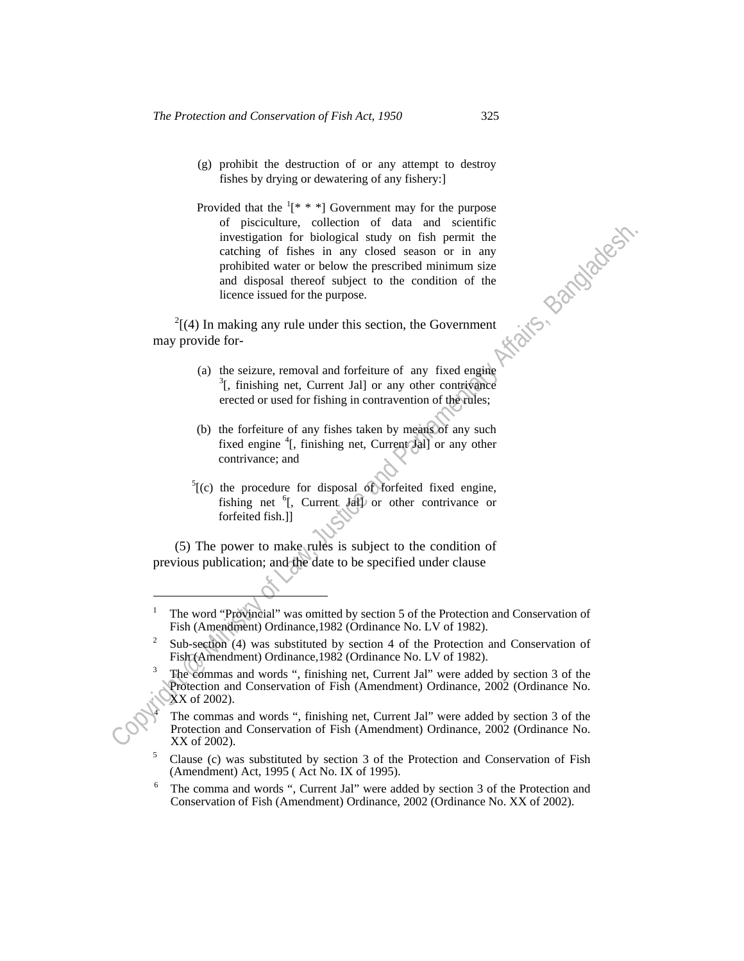- (g) prohibit the destruction of or any attempt to destroy fishes by drying or dewatering of any fishery:]
- Findential constrained constrained on the state of Amissim and an anti-state control of fish size and algorithmic profile and disposed and the proposed associated or the parliamentary affects are and disposed there is mea Provided that the  $(1^* * * )$  Government may for the purpose of pisciculture, collection of data and scientific investigation for biological study on fish permit the catching of fishes in any closed season or in any prohibited water or below the prescribed minimum size and disposal thereof subject to the condition of the licence issued for the purpose.

 2  $\frac{1}{1}$ (4) In making any rule under this section, the Government may provide for-

- (a) the seizure, removal and forfeiture of any fixed engine  $^{3}$ [, finishing net, Current Jal] or any other contrivance erected or used for fishing in contravention of the rules;
- (b) the forfeiture of any fishes taken by means of any such fixed engine <sup>4</sup>[, finishing net, Current Jal] or any other contrivance; and
- $<sup>5</sup>$ [(c) the procedure for disposal of forfeited fixed engine,</sup> fishing net <sup>6</sup>[, Current Jall] or other contrivance or forfeited fish.]]

 (5) The power to make rules is subject to the condition of previous publication; and the date to be specified under clause

<sup>1</sup> The word "Provincial" was omitted by section 5 of the Protection and Conservation of Fish (Amendment) Ordinance, 1982 (Ordinance No. LV of 1982).

Sub-section (4) was substituted by section 4 of the Protection and Conservation of Fish (Amendment) Ordinance,1982 (Ordinance No. LV of 1982). 3

The commas and words ", finishing net, Current Jal" were added by section 3 of the Protection and Conservation of Fish (Amendment) Ordinance, 2002 (Ordinance No. XX of 2002).

The commas and words ", finishing net, Current Jal" were added by section 3 of the Protection and Conservation of Fish (Amendment) Ordinance, 2002 (Ordinance No. XX of 2002).

Clause (c) was substituted by section 3 of the Protection and Conservation of Fish (Amendment) Act, 1995 (Act No. IX of 1995).<br> $\frac{6}{5}$ . The samme and weaks "Current Jal" weaves

The comma and words ", Current Jal" were added by section 3 of the Protection and Conservation of Fish (Amendment) Ordinance, 2002 (Ordinance No. XX of 2002).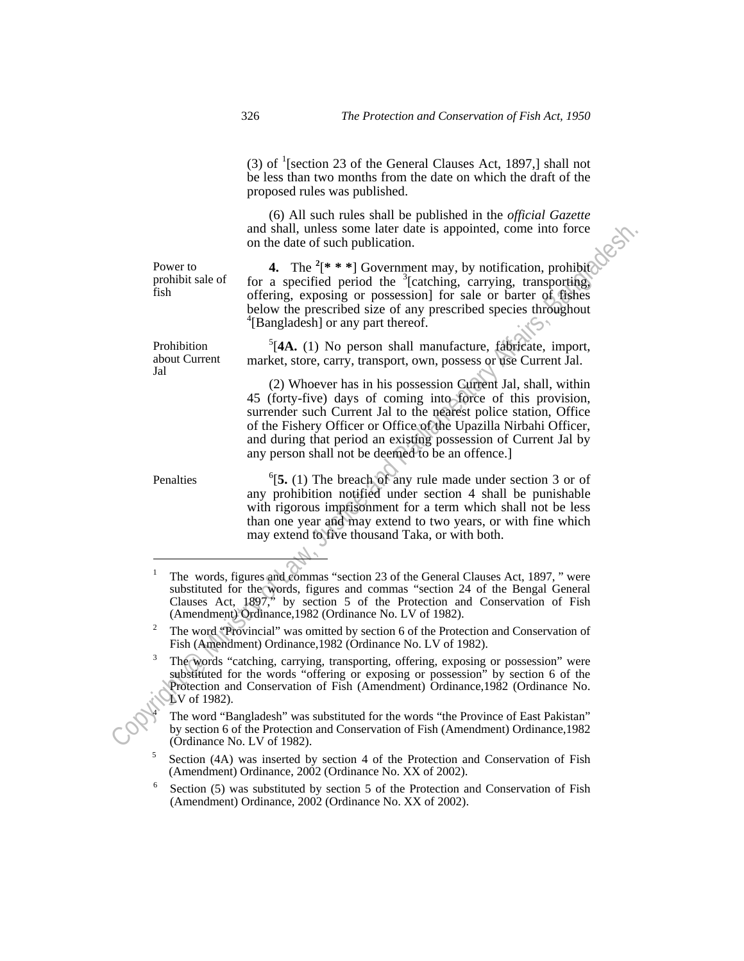(3) of  $\frac{1}{2}$  [section 23 of the General Clauses Act, 1897,] shall not be less than two months from the date on which the draft of the proposed rules was published.

 (6) All such rules shall be published in the *official Gazette* and shall, unless some later date is appointed, come into force on the date of such publication.

Power to prohibit sale of fish

**4.** The <sup>2</sup>[<sup>\*</sup> \* \*] Government may, by notification, prohibit for a specified period the  $3$ [catching, carrying, transporting, offering, exposing or possession] for sale or barter of fishes below the prescribed size of any prescribed species throughout 4 [Bangladesh] or any part thereof.

Prohibition about Current Jal

Penalties

 $\overline{a}$ 

5 [**4A.** (1) No person shall manufacture, fabricate, import, market, store, carry, transport, own, possess or use Current Jal.

and shall, unless some latter date is appointed, come into force<br>
Power to<br>  $\bullet$  the date of succefied period in legacing carrying, transporting<br>
probiblistate of for a specifical period profession for sale or barter of g (2) Whoever has in his possession Current Jal, shall, within 45 (forty-five) days of coming into force of this provision, surrender such Current Jal to the nearest police station, Office of the Fishery Officer or Office of the Upazilla Nirbahi Officer, and during that period an existing possession of Current Jal by any person shall not be deemed to be an offence.]

 ${}^{6}$ [5. (1) The breach of any rule made under section 3 or of any prohibition notified under section 4 shall be punishable with rigorous imprisonment for a term which shall not be less than one year and may extend to two years, or with fine which may extend to five thousand Taka, or with both.

 The words "catching, carrying, transporting, offering, exposing or possession" were substituted for the words "offering or exposing or possession" by section 6 of the Protection and Conservation of Fish (Amendment) Ordinance,1982 (Ordinance No. LV of 1982).

 The word "Bangladesh" was substituted for the words "the Province of East Pakistan" by section 6 of the Protection and Conservation of Fish (Amendment) Ordinance,1982 (Ordinance No. LV of 1982).

Section (4A) was inserted by section 4 of the Protection and Conservation of Fish (Amendment) Ordinance, 2002 (Ordinance No. XX of 2002).

Section (5) was substituted by section 5 of the Protection and Conservation of Fish (Amendment) Ordinance, 2002 (Ordinance No. XX of 2002).

<sup>1</sup> The words, figures and commas "section 23 of the General Clauses Act, 1897, " were substituted for the words, figures and commas "section 24 of the Bengal General Clauses Act, 1897," by section 5 of the Protection and Conservation of Fish (Amendment) Ordinance, 1982 (Ordinance No. LV of 1982).

The word "Provincial" was omitted by section 6 of the Protection and Conservation of Fish (Amendment) Ordinance,1982 (Ordinance No. LV of 1982). 3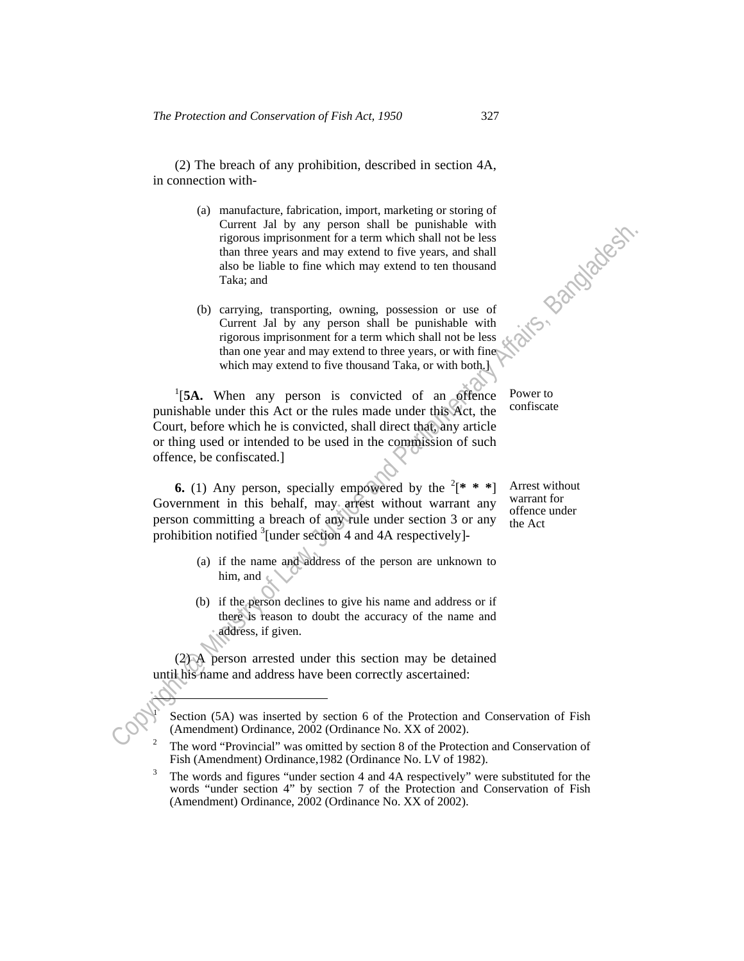(2) The breach of any prohibition, described in section 4A, in connection with-

- (a) manufacture, fabrication, import, marketing or storing of Current Jal by any person shall be punishable with rigorous imprisonment for a term which shall not be less than three years and may extend to five years, and shall also be liable to fine which may extend to ten thousand Taka; and
- (b) carrying, transporting, owning, possession or use of Current Jal by any person shall be punishable with rigorous imprisonment for a term which shall not be less than one year and may extend to three years, or with fine which may extend to five thousand Taka, or with both.]

Correll at the way person shall be punishable with<br>the origin of Law and Sole liable to fine which may becaust and only be less<br>than three years and may extend to five years, and shall<br>Taka; and<br>Correll as the may be may <sup>1</sup>[5A. When any person is convicted of an offence punishable under this Act or the rules made under this Act, the Court, before which he is convicted, shall direct that, any article or thing used or intended to be used in the commission of such offence, be confiscated.]

**6.** (1) Any person, specially empowered by the  $2^*$  \* \*] Government in this behalf, may arrest without warrant any person committing a breach of any rule under section 3 or any prohibition notified  $3$ [under section 4 and 4A respectively]-

Arrest without warrant for offence under the Act

Power to confiscate

- (a) if the name and address of the person are unknown to him, and
- (b) if the person declines to give his name and address or if there is reason to doubt the accuracy of the name and address, if given.

 (2) A person arrested under this section may be detained until his name and address have been correctly ascertained:

ŀ 1

Section (5A) was inserted by section 6 of the Protection and Conservation of Fish (Amendment) Ordinance, 2002 (Ordinance No. XX of 2002). 2

The word "Provincial" was omitted by section 8 of the Protection and Conservation of Fish (Amendment) Ordinance,1982 (Ordinance No. LV of 1982). 3

The words and figures "under section 4 and 4A respectively" were substituted for the words "under section 4" by section 7 of the Protection and Conservation of Fish (Amendment) Ordinance, 2002 (Ordinance No. XX of 2002).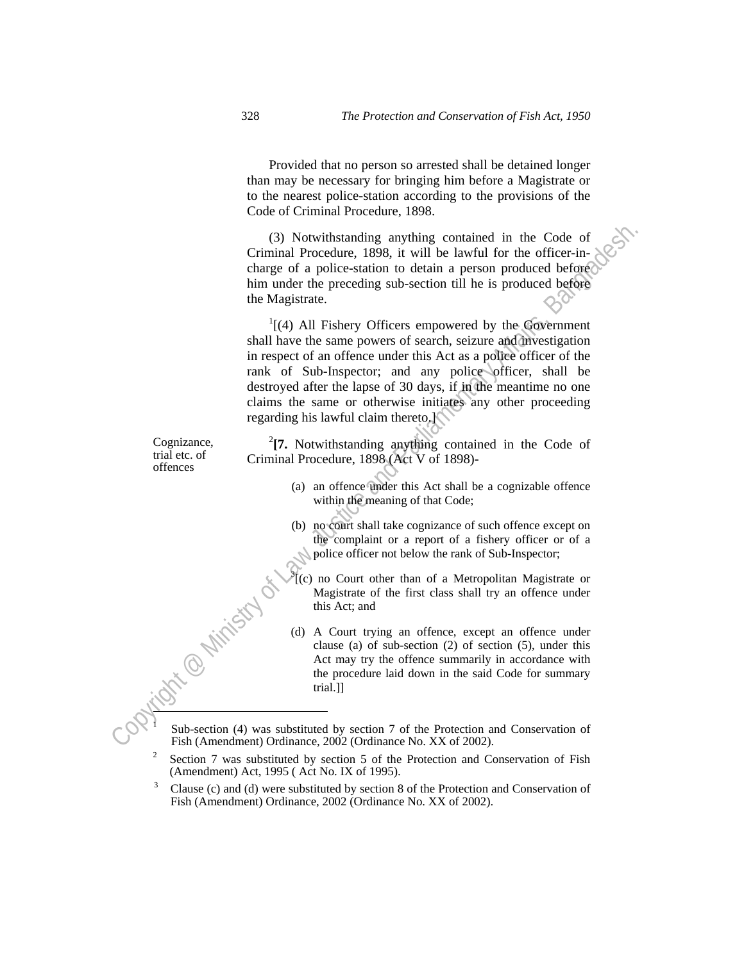Provided that no person so arrested shall be detained longer than may be necessary for bringing him before a Magistrate or to the nearest police-station according to the provisions of the Code of Criminal Procedure, 1898.

 (3) Notwithstanding anything contained in the Code of Criminal Procedure, 1898, it will be lawful for the officer-incharge of a police-station to detain a person produced before him under the preceding sub-section till he is produced before the Magistrate.

(3) Notwithstanding anything contained in the Code of<br>
Criminal Procedure, 1898, it will be law/th for the office-in-<br>
charge of a police-station to detain a person produced before<br>
thim under the preceding sub-section ti <sup>1</sup>  $\frac{1}{4}$ [(4) All Fishery Officers empowered by the Government shall have the same powers of search, seizure and investigation in respect of an offence under this Act as a police officer of the rank of Sub-Inspector; and any police officer, shall be destroyed after the lapse of 30 days, if in the meantime no one claims the same or otherwise initiates any other proceeding regarding his lawful claim thereto.]

**[7.** Notwithstanding anything contained in the Code of Criminal Procedure, 1898 (Act V of 1898)-

- (a) an offence under this Act shall be a cognizable offence within the meaning of that Code;
- (b) no court shall take cognizance of such offence except on the complaint or a report of a fishery officer or of a police officer not below the rank of Sub-Inspector;
- $\mathcal{F}$ (c) no Court other than of a Metropolitan Magistrate or Magistrate of the first class shall try an offence under this Act; and
- (d) A Court trying an offence, except an offence under<br>clause (a) of sub-section (2) of section  $\epsilon$ .<br>Act may try the office clause (a) of sub-section (2) of section (5), under this Act may try the offence summarily in accordance with the procedure laid down in the said Code for summary trial.]]

 Sub-section (4) was substituted by section 7 of the Protection and Conservation of Fish (Amendment) Ordinance, 2002 (Ordinance No. XX of 2002). 2

 Clause (c) and (d) were substituted by section 8 of the Protection and Conservation of Fish (Amendment) Ordinance, 2002 (Ordinance No. XX of 2002).

Cognizance, trial etc. of offences

ì 1

Section 7 was substituted by section 5 of the Protection and Conservation of Fish (Amendment) Act, 1995 ( Act No. IX of 1995). 3